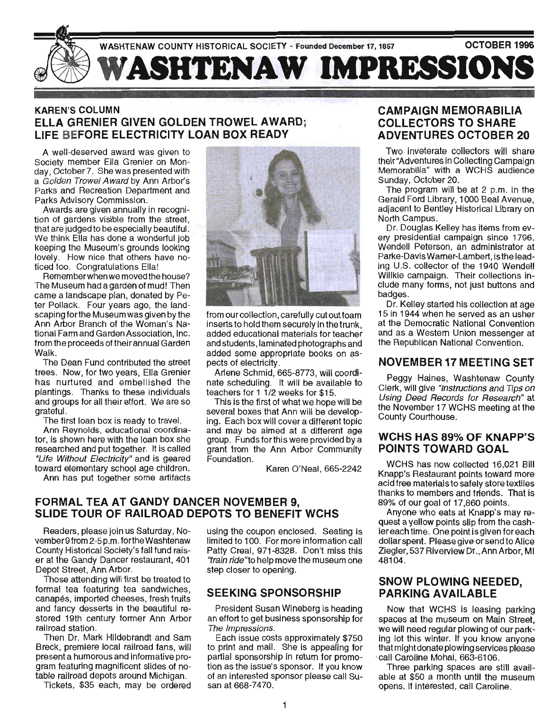

# KAREN'S COLUMN ELLA GRENIER GIVEN GOLDEN TROWEL AWARD; LIFE BEFORE ELECTRICITY LOAN BOX READY

A well-deserved award was given to Society member Ella Grenier on Monday, October 7. She was presented with a Golden Trowel Award by Ann Arbor's Parks and Recreation Department and Parks Advisory Commission.

Awards are given annually in recognition of gardens visible from the street, that are judged to be especially beautiful. We think Ella has done a wonderful job keeping the Museum's grounds looking lovely. How nice that others have noticed too. Congratulations Ella!

Rememberwhen we moved the house? The Museum had a garden of mud! Then came a landscape plan, donated by Peter Pollack. Four years ago, the landscaping forthe Museum was given by the Ann Arbor Branch of the Woman's National Farm and Garden Association, Inc. from the proceeds of their annual Garden Walk.

The Dean Fund contributed the street trees. Now, for two years, Ella Grenier has nurtured and embellished the plantings. Thanks to these individuals and groups for all their effort. We are so grateful.

The first loan box is ready to travel.

Ann Reynolds, educational coordinator, is shown here with the loan box she researched and put together. It is called "Life Without Electricity" and is geared toward elementary school age children.

Ann has put together some artifacts



from our collection, carefully cut out foam inserts to hold them securely in the trunk, added educational materials for teacher and students, laminated photographs and added some appropriate books on aspects of electricity.

Arlene Schmid, 665-8773, will coordinate scheduling. It will be available to teachers for 1 1/2 weeks for \$15.

This is the first of what we hope will be several boxes that Ann will be developing. Each box will cover a different topic and may be aimed at a different age group. Funds forthis were provided by a grant from the Ann Arbor Community Foundation.

Karen O'Neal, 665-2242

#### FORMAL TEA AT GANDY DANCER NOVEMBER 9, SLIDE TOUR OF RAILROAD DEPOTS TO BENEFIT WCHS

Readers, please join us Saturday, November9from2-5p.m. fortheWashtenaw County Historical Society's fall fund raiser at the Gandy Dancer restaurant, 401 Depot Street, Ann Arbor.

Those attending will first be treated to formal tea featuring tea sandwiches, canapes, imported cheeses, fresh fruits and fancy desserts in the beautiful restored 19th century former Ann Arbor railroad station.

Then Dr. Mark Hildebrandt and Sam Breck, premiere local railroad fans, will present a humorous and informative program featuring magnificent slides of notable railroad depots around Michigan.

Tickets, \$35 each, may be ordered

using the coupon enclosed. Seating is limited to 100. For more information call Patty Creal, 971-8328. Don't miss this "train ride"to help move the museum one step closer to opening.

#### SEEKING SPONSORSHIP

President Susan Wineberg is heading an effort to get business sponsorship for The Impressions.

Each issue costs approximately \$750 to print and mail. She is appealing for partial sponsorship in return for promotion as the issue's sponsor. If you know of an interested sponsor please call Susan at 668-7470.

## CAMPAIGN MEMORABILIA COLLECTORS TO SHARE ADVENTURES OCTOBER 20

Two inveterate collectors will share their "Adventures in Collecting Campaign Memorabilia" with a WCHS audience Sunday, October 20.

The program will be at 2 p.m. in the Gerald Ford Library, 1000 Beal Avenue, adjacent to Bentley Historical Library on North Campus.

Dr. Douglas Kelley has items from every presidential campaign since 1796. Wendell Peterson, an administrator at Parke-Davis Warner-Lambert, is the leading U.S. collector of the 1940 Wendell Willkie campaign. Their collections include many forms, not just buttons and badges.

Dr. Kelley started his collection at age 15 in 1944 when he served as an usher at the Democratic National Convention and as a Western Union messenger at the Republican National Convention.

## NOVEMBER 17 MEETING SET

Peggy Haines, Washtenaw County Clerk, will give "Instructions and Tips on Using Deed Records for Research" at the November 17 WCHS meeting at the County Courthouse.

## WCHS HAS 89% OF KNAPP'S POINTS TOWARD GOAL

WCHS has now collected 16,021 Bill Knapp's Restaurant points toward more acid free materials to safely store textiles thanks to members and friends. That is 89% of our goal of 17,860 points.

Anyone who eats at Knapp's may request a yellow points slip from the cashiereach time. One point is given for each dollar spent. Please give or send to Alice Ziegler, 537 Riverview Dr., Ann Arbor, MI 48104.

## SNOW PLOWING NEEDED, PARKING AVAILABLE

Now that WCHS is leasing parking spaces at the museum on Main Street, we will need regular plowing of our parking lot this winter. If you know anyone that might donate plowing services please . call Caroline Mohai, 663-6106.

Three parking spaces are still available at \$50 a month until the museum opens. If interested, call Caroline.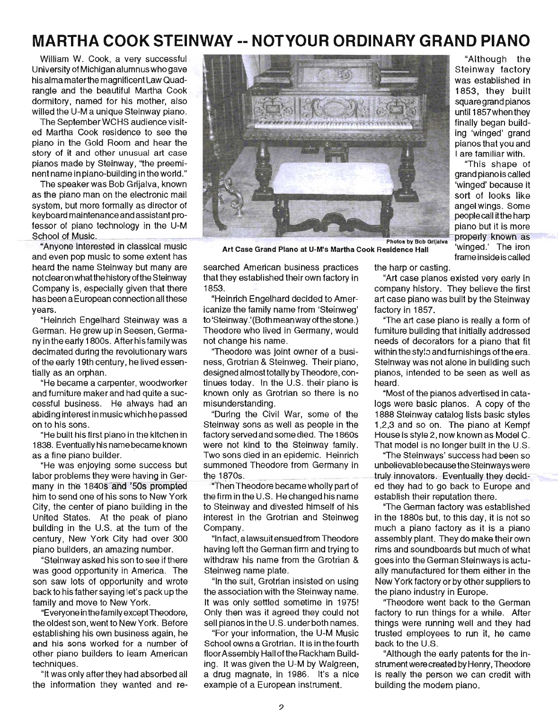# **MARTHA COOK STEINWAY -- NOTYOUR ORDINARY GRAND PIANO**

William W. Cook, a very successful University of Michigan alumnus who gave his alma materthe magnificent Law Quadrangle and the beautiful Martha Cook dormitory, named for his mother, also willed the U-M a unique Steinway piano.

The September WCHS audience visited Martha Cook residence to see the piano in the Gold Room and hear the story of it and other unusual art case pianos made by Steinway, "the preeminent name in piano-building inthe wond."

The speaker was Bob Grijalva, known as the piano man on the electronic mail system, but more formally as director of keyboard maintenance and assistant professor of piano technology in the U-M School of Music.

"Anyone interested in classical music and even pop music to some extent has heard the name Steinway but many are notclearon what the history ofthe Steinway Company is, especially given that there has been a European connection all these years.

. "Heinrich Engelhard Steinway was a German. He grew up in Seesen, Germany in the eany 1800s. After his family was decimated during the revolutionary wars of the early 19th century, he lived essentially as an orphan.

"He became a carpenter, woodworker and furniture maker and had quite a successful business. He always had an abiding interest in music which he passed on to his sons.

"He built his first piano in the kitchen in 1838. Eventually his name became known as a fine piano builder.

"He was enjoying some success but labor problems they were having in Ger many in the 1840s and '50s prompted him to send one of his sons to New York City, the center of piano building in the United States. At the peak of piano building in the U.S. at the tum of the century, New York City had over 300 piano builders, an amazing number.

"Steinway asked his son to see if there was good opportunity in America. The son saw lots of opportunity and wrote back to his father saying let's pack up the family and move to New York.

"Everyone in the family except Theodore, the oldest son, went to New York. Before estabiishing his own business again, he and his sons worked for a number of other piano builders to learn American techniques.

"It was only after they had absorbed all the information they wanted and re-



Art Case Grand Piano at U-M's Martha Cook Residence Hall 'winged.' The iron

searched American business practices that they established their own factory in 1853.

"Heinrich Engelhard decided to Americanize the family name from 'Steinweg' to 'Steinway.' (Both mean way ofthe stone.) Theodore who lived in Germany, would not change his name.

"Theodore was joint owner of a business, Grotrian & Steinweg. Their piano, designed almost totally by Theodore, continues today. In the U.S. their piano is known only as Grotrian so there is no misunderstanding.

"During the Civil War, some of the Steinway sons as well as people in the factory served and some died. The 1860s were not kind to the Steinway family. Two sons died in an epidemic. Heinrich summoned Theodore from Germany in the 1870s.

"Then Theodore became wholly part of the firm in the U.S. He changed his name to Steinway and divested himself of his interest in the Grotrian and Steinweg Company.

"In fact, a lawsuit ensued from Theodore having left the German firm and trying to withdraw his name from the Grotrian & Steinweg name plate.

"In the suit, Grotrian insisted on using the association with the Steinway name. It was only settled sometime in 1975! Only then was it agreed they could not sell pianos inthe U.S. under both names.

"For your information, the U-M Music School owns a Grotrian. It is in the fourth floor Assembly Hall of the Rackham Building. It was given the U-M by Walgreen, a drug magnate, in 1986. It's a nice example of a European instrument.

2

"Although the Steinway factory was established in 1853, they built square grand pianos until 1857whenthey finally began building 'winged' grand pianos that you and I are familiar with.

"This shape of grand piano is called 'winged' because it sort of looks like angel wings. Some people call itthe harp piano but it is more properly known as frame insideis called

the harp or casting.

"Art case pianos existed very early in company history. They believe the first art case piano was built by the Steinway factory in 1857.

"The art case piano is really a form of furniture building that initially addressed needs of decorators for a piano that fit within the style and furnishings of the era. Steinway was not alone in building such pianos, intended to be seen as well as heard.

"Most of the pianos advertised in catalogs were basic pianos. A copy of the 1888 Steinway catalog lists basic styles 1,2,3 and so on. The piano at Kempf House is style 2, now known as Model C. That model is no longer built in the U.S.

"The Steinways' success had been so unbelievable because the Steinways were truly innovators. Eventually they decided they had to go back to Europe and establish their reputation there.

"The German factory was established in the 1880s but, to this day, it is not so much a piano factory as it is a piano assembly plant. They do make their own rims and soundboards but much of what goes into the German Steinways is actually manufactured for them either in the New York factory or by other suppliers to the piano industry in Europe.

"Theodore went back to the German factory to run things for a while. After things were running well and they had trusted employees to run it, he came back to the U.S.

"Although the eany patents for the instrument were created by Henry, Theodore is really the person we can credit with building the modem piano.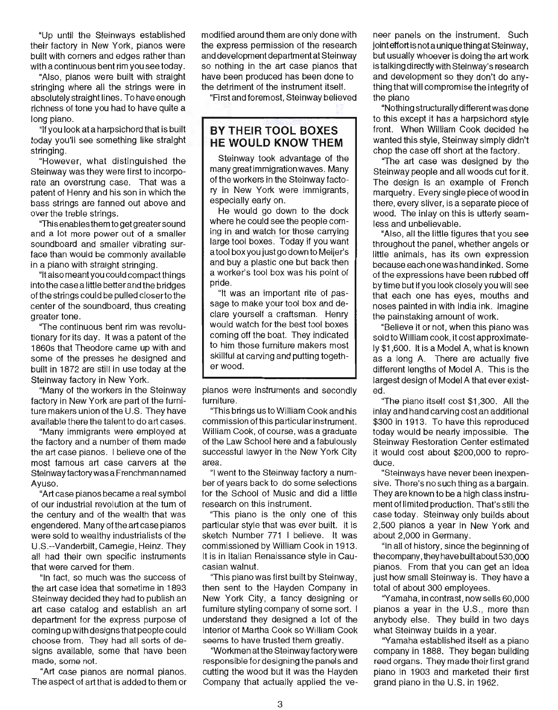"Up until the Steinways established their factory in New York, pianos were built with corners and edges rather than with a continuous bent rim you see today.

"Also, pianos were built with straight stringing where all the strings were in absolutely straight lines. To have enough richness of tone you had to have quite a long piano.

"If you look at a harpsichord that is built today you'll see something like straight stringing.

"However, what distinguished the Steinway was they were first to incorporate an overstrung case. That was a patent of Henry and his son in which the bass strings are fanned out above and over the treble strings.

"This enables them to get greater sound and a lot more power out of a smaller sound board and smaller vibrating surface than would be commonly available in a piano with straight stringing.

"Italso meant you could compact things into the case a little better and the bridges of the strings could be pulled closerto the center of the soundboard, thus creating greater tone.

"The continuous bent rim was revolutionary for its day. It was a patent of the 1860s that Theodore came up with and some of the presses he designed and built in 1872 are still in use today at the Steinway factory in New York.

"Many of the workers in the Steinway factory in New York are part of the furniture makers union of the U.S. They have available there the talent to do art cases.

"Many immigrants were employed at the factory and a number of them made the art case pianos. I believe one of the most famous art case carvers at the Steinway factory was a Frenchman named Ayuso.

"Art case pianos became a real symbol of our industrial revolution at the tum of the century and of the wealth that was engendered. Many ofthe art case pianos were sold to wealthy industrialists of the U.S.--Vanderbilt, Carnegie, Heinz. They all had their own specific instruments that were carved for them .

"In fact, so much was the success of the art case idea that sometime in 1893 Steinway decided they had to publish an art case catalog and establish an art department for the express purpose of coming up with designs that people could choose from. They had all sorts of designs available, some that have been made, some not.

"Art case pianos are normal pianos. The aspect of art that is added to them or modified around them are only done with the express permission of the research and development department at Steinway so nothing in the art case pianos that have been produced has been done to the detriment of the instrument itself.

"First and foremost, Steinway believed

## **BY THEIR TOOL BOXES HE WOULD KNOW THEM**

Steinway took advantage of the many great immigration waves. Many of the workers in the Steinway factory in New York were immigrants, especially early on.

He would go down to the dock where he could see the people coming in and watch for those carrying large tool boxes. Today if you want atool box you just go down to Meijer's and buy a plastic one but back then a worker's tool box was his point of pride.

"It was an important rite of passage to make your tool box and declare yourself a craftsman. Henry would watch for the best tool boxes coming off the boat. They indicated to him those furniture makers most skillful at carving and putting togetherwood.

pianos were instruments and secondly furniture.

"This brings us to William Cook and his commission of this particular instrument. William Cook, of course, was a graduate of the Law School here and a fabulously successful lawyer in the New York City area.

"I went to the Steinway factory a number of years back to do some selections for the School of Music and did a little research on this instrument.

"This piano is the only one of this particular style that was ever built. It is sketch Number 771 I believe. It was commissioned by William Cook in 1913. It is in Italian Renaissance style in Caucasian walnut.

"This piano was first built by Steinway, then sent to the Hayden Company in New York City, a fancy designing or furniture styling company of some sort. I understand they designed a lot of the interior of Martha Cook so William Cook seems to have trusted them greatly.

"Workmen atthe Steinway factory were responsible for designing the panels and cutting the wood but it was the Hayden Company that actually applied the veneer panels on the instrument. Such joint effort isnot a unique thing at Steinway, but usually whoever is doing the art work is talking directly with Steinway's research and development so they don't do anything that will compromise the integrity of the piano

"Nothing structurally different was done to this except it has a harpsichord style front. When William Cook decided he wanted this style, Steinway simply didn't chop the case off short at the factory.

"The art case was designed by the Steinway people and all woods cut for it. The design is an example of French marquetry. Every single piece of wood in there, every sliver, is a separate piece of wood. The inlay on this is utterly seamless and unbelievable.

"Also, all the little figures that you see throughout the panel, whether angels or little animals, has its own expression because each one was hand inked. Some of the expressions have been rubbed off by time but if you look closely you will see that each one has eyes, mouths and noses painted in with India ink. Imagine the painstaking amount of work.

"Believe it or not, when this piano was sold to William cook, it cost approximately \$1,600. It is a Model A, what is known as a long A. There are actually five different lengths of Model A. This is the largest design of Model A that ever existed.

"The piano itself cost \$1,300. All the inlay and hand carving cost an additional \$300 in 1913. To have this reproduced today would be nearly impossible. The Steinway Restoration Center estimated it would cost about \$200,000 to reproduce.

"Steinways have never been inexpensive. There's no such thing as a bargain. They are known to be a high class instrument of limited production. That's still the case today. Steinway only builds about 2,500 pianos a year in New York and about 2,000 in Germany.

"In all of history, since the beginning of the company , they have built about 530,000 pianos. From that you can get an idea just how small Steinway is. They have a total of about 300 employees.

"Yamaha, in contrast, now sells 60,000 pianos a year in the U.S., more than anybody else. They build in two days what Steinway builds in a year.

"Yamaha established itself as a piano company in 1888. They began building reed organs. They made their first grand piano in 1903 and marketed their first grand piano in the U.S. in 1962.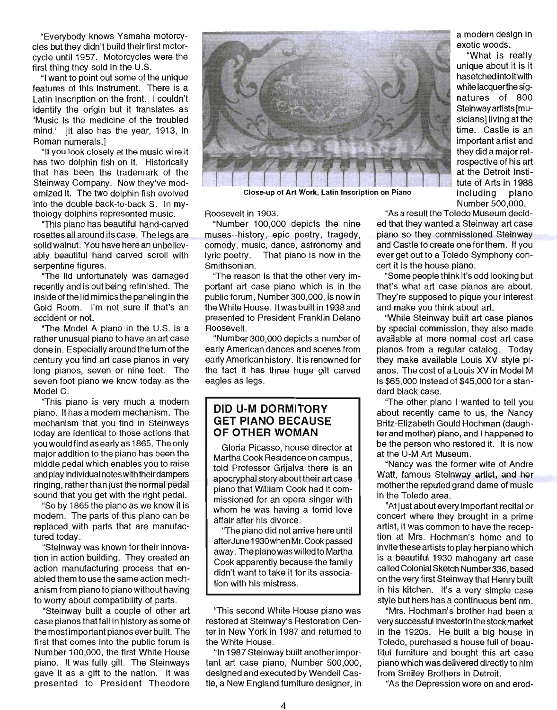"Everybody knows Yamaha motorcycles but they didn't build theirfirst motorcycle until 1957. Motorcycles were the first thing they sold in the U.S.

"I want to point out some of the unique features of this instrument. There is a Latin inscription on the front. I couldn't identify the origin but it translates as 'Music is the medicine of the troubled mind.' It also has the year, 1913, in Roman numerals.]

"If you look closely at the music wire it has two dolphin fish on it. Historically that has been the trademark of the Steinway Company. Now they've modernized it. The two dolphin fish evolved into the double back-to-back S. In mythology dolphins represented music.

"This piano has beautiful hand-carved rosettes all around its case. The legs are solid walnut. You have here an unbelievably beautiful hand carved scroll with serpentine figures.

"The lid unfortunately was damaged recently and is out being refinished. The inside of the lid mimics the paneling in the Gold Room. I'm not sure if that's an accident or not.

"The Model A piano in the U.S. is a rather unusual piano to have an art case done in. Especially around the tum of the century you find art case pianos in very long pianos, seven or nine feet. The seven foot piano we know today as the Model C.

"This piano is very much a modern piano. It has a modem mechanism. The mechanism that you find in Steinways today are identical to those actions that you would find as early as 1865. The only major addition to the piano has been the middle pedal which enables you to raise and play individual notes with their dampers ringing, rather than just the normal pedal sound that you get with the right pedal.

"So by 1865 the piano as we know it is modern. The parts of this piano can be replaced with parts that are manufactured today.

"Steinway was known fortheir innovation in action building. They created an action manufacturing process that enabled them to use the same action mechanism from piano to piano without having to worry about compatibility of parts.

"Steinway built a couple of other art case pianos that fall in history as some of the most important pianos ever built. The first that comes into the public forum is Number 100,000, the first White House piano. It was fully gilt. The Steinways gave it as a gift to the nation. It was presented to President Theodore



Close-up of Art Work, Latin Inscription on Piano

Roosevelt in 1903.

"Number 100,000 depicts the nine muses--history, epic poetry, tragedy, comedy, music, dance, astronomy and lyric poetry. That piano is now in the Smithsonian.

"The reason is that the other very important art case piano which is in the public forum, Number 300,000, is now in the White House. It was built in 1938 and presented to President Franklin Delano Roosevelt.

"Number 300,000 depicts a number of early American dances and scenes from early American history. It is renowned for the fact it has three huge gilt carved eagles as legs.

#### **DID U-M DORMITORY GET PIANO BECAUSE OF OTHER WOMAN**

Gloria Picasso, house director at Martha Cook Residence on campus, told Professor Grijalva there is an apocryphal story about their art case piano that William Cook had it commissioned for an opera singer with whom he was having a torrid love affair after his divorce.

'The piano did not arrive here until after June 1930when Mr. Cook passed away. Thepianowaswilledto Martha Cook apparently because the family didn't want to take it for its association with his mistress.

'This second White House piano was restored at Steinway's Restoration Center in New York in 1987 and returned to the White House.

"In 1987 Steinway built another important art case piano, Number 500,000, designed and executed by Wendell Castle, a New England furniture designer, in a modern design in exotic woods.

"What is really unique about it is it has etched into itwith white lacquerthe signatures of 800 Steinway artists [musicians] living at the time. Castle is an important artist and they did a major retrospective of his art at the Detroit Institute of Arts in 1988 including piano Number 500,000.

"As a result the Toledo Museum decided that they wanted a Steinway art case piano so they commissioned Steinway and Castle to create one for them. If you ever get out to a Toledo Symphony concert it is the house piano.

"Some people think it's odd looking but that's what art case pianos are about. They're supposed to pique your interest and make you think about art.

"While Steinway built art case pianos by special commission, they also made available at more normal cost art case pianos from a regular catalog. Today they make available Louis XV style pianos. The cost of a Louis XV in Model M is \$65,000 instead of \$45,000 for a standard black case.

"The other piano I wanted to tell you about recently came to us, the Nancy Britz-Elizabeth Gould Hochman (daughter and mother) piano, and I happened to be the person who restored it. It is now at the U-M Art Museum.

"Nancy was the former wife of Andre Watt, famous Steinway artist, and her mother the reputed grand dame of music in the Toledo area.

"At just about every important recital or concert where they brought in a prime artist, it was common to have the reception at Mrs. Hochman's home and to invite these artists to play her piano which is a beautiful 1930 mahogany art case called Colonial Sketch Number336, based en the very first Steinway that Henry built in his kitchen. It's a very simple case style but hers has a continuous bent rim.

"Mrs. Hochman's brother had been a very successful investorin the stock market in the 1920s. He built a big house in . Toledo, purchased a house full of beautitul furniture and bought this art case piano which was delivered directly to him from Smiley Brothers in Detroit.

"As the Depression wore on and erod-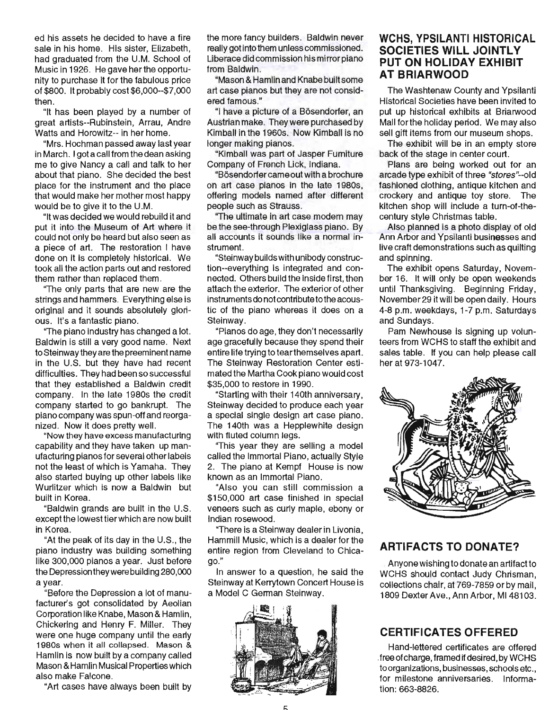ed his assets he decided to have a fire sale in his home. His sister, Elizabeth, had graduated from the U.M. School of Music in 1926. He gave her the opportunity to purchase it for the fabulous price of \$800. It probably cost \$6,000--\$7,000 then.

"It has been played by a number of great artists--Rubinstein, Arrau, Andre Watts and Horowitz-- in her home.

"Mrs. Hochman passed away last year in March. I got a call from the dean asking me to give Nancy a call and talk to her about that piano. She decided the best place for the instrument and the place that would make her mother most happy would be to give it to the U.M.

"It was decided we would rebuild it and put it into the Museum of Art where it could not only be heard but also seen as a piece of art. The restoration I have done on it is completely historical. We took all the action parts out and restored them rather than replaced them.

"The only parts that are new are the strings and hammers. Everything else is original and it sounds absolutely glorious. It's a fantastic piano.

"The piano industry has changed a lot. Baldwin is still a very good name. Next to Steinway they are the preeminent name in the U.S. but they have had recent difficulties. They had been so successful that they established a Baldwin credit company. In the late 1980s the credit company started to go bankrupt. The piano company was spun-off and reorganized. Now it does pretty well.

"Now they have excess manufacturing capability and they have taken up manufacturing pianos for several other labels not the least of which is Yamaha. They also started buying up other labels like Wurlitzer which is now a Baldwin but built in Korea.

"Baldwin grands are built in the U.S. except the lowest tier which are now built in Korea.

"At the peak of its day in the U.S., the piano industry was building something like 300,000 pianos a year. Just before the Depression they were building 280,000 a year.

"Before the Depression a lot of manufacturer's got consolidated by Aeolian Corporation like Knabe, Mason & Hamlin, Chickering and Henry F. Miller. They were one huge company until the early 1980s when it all collapsed. Mason & Hamlin is now built by a company called Mason & Hamlin Musical Properties which also make Falcone.

"Art cases have always been built by

the more fancy builders. Baldwin never really got into them unless commissioned. Liberace did commission his mirror piano from Baldwin.

"Mason & Hamlin and Knabe built some art case pianos but they are not considered famous."

"I have a picture of a Bosendorfer, an Austrian make. They were purchased by Kimball in the 1960s. Now Kimball is no longer making pianos.

"Kimball was part of Jasper Fumiture Company of French Lick, Indiana.

"Bosendorfer came out with a brochure on art case pianos in the late 1980s, offering models named after different people such as Strauss.

"The ultimate in art case modern may be the see-through Plexiglass piano. By all accounts it sounds like a normal instrument.

"Steinway builds with unibody construction--everything is integrated and connected. Others build the inside first, then attach the exterior. The exterior of other instruments do not contribute to the acoustic of the piano whereas it does on a Steinway.

"Pianos do age, they don't necessarily age gracefully because they spend their entire life trying to tearthemselves apart. The Steinway Restoration Center estimated the Martha Cook piano would cost \$35,000 to restore in 1990.

"Starting with their 140th anniversary, Steinway decided to produce each year a special single design art case piano. The 140th was a Hepplewhite design with fluted column legs.

"This year they are selling a model called the Immortal Piano, actually Style 2. The piano at Kempf House is now known as an Immortal Piano.

"Also you can still commission a \$150,000 art case finished in special veneers such as curly maple, ebony or Indian rosewood .

"There is a Steinway dealer in Livonia, Hammill Music, which is a dealer for the entire region from Cleveland to Chicago."

In answer to a question, he said the Steinwayat Kerrytown Concert House is a Model C German Steinway.



## **WCHS, YPSILANTI HISTORICAL SOCIETIES WILL JOINTLY PUT ON HOLIDAY EXHIBIT AT BRIARWOOD**

The Washtenaw County and Ypsilanti Historical Societies have been invited to put up historical exhibits at Briarwood Mall for the holiday period. We may also sell gift items from our museum shops.

The exhibit will be in an empty store back of the stage in center court.

Plans are being worked out for an arcade type exhibit of three "stores"--old fashioned clothing, antique kitchen and crockery and antique toy store. The kitchen shop will include a turn-of-thecentury style Christmas table.

Also planned is a photo display of old Ann Arbor and Ypsilanti businesses and live craft demonstrations such as quilting and spinning.

The exhibit opens Saturday, November 16. It will only be open weekends until Thanksgiving. Beginning Friday, November 29 it will be open daily. Hours 4-8 p.m. weekdays, 1-7 p.m. Saturdays and Sundays.

Pam Newhouse is signing up volunteers from WCHS to staff the exhibit and sales table. If you can help please call her at 973-1047.



## **ARTIFACTS TO DONATE?**

Anyone wishing to donate an artifact to WCHS should contact Judy Chrisman, collections chair, at 769-7859 or by mail, 1809 Dexter Ave., Ann Arbor, MI 48103.

# **CERTIFICATES OFFERED**

Hand-lettered certificates are offered . free of charge, framed if desired, by WCHS to organizations, businesses, schools etc., for milestone anniversaries. Information: 663-8826.